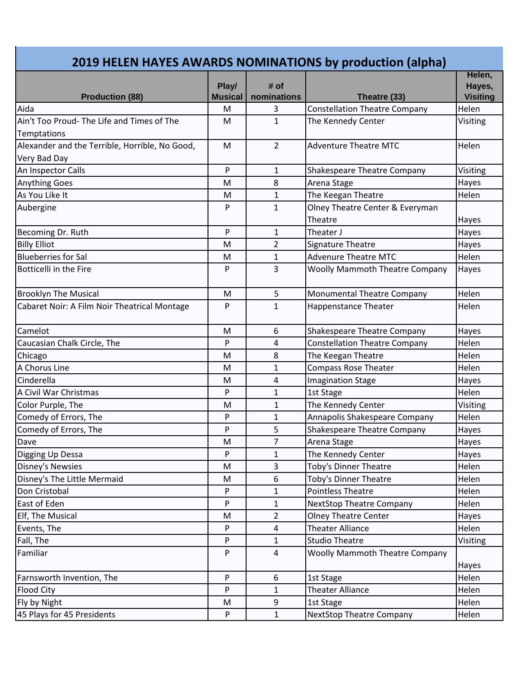## **2019 HELEN HAYES AWARDS NOMINATIONS by production (alpha)**

| <b>Production (88)</b>                         | Play/<br><b>Musical</b> | # of<br>nominations | Theatre (33)                               | Helen,<br>Hayes,<br><b>Visiting</b> |
|------------------------------------------------|-------------------------|---------------------|--------------------------------------------|-------------------------------------|
| Aida                                           | м                       | 3                   | <b>Constellation Theatre Company</b>       | Helen                               |
| Ain't Too Proud- The Life and Times of The     | M                       | $\mathbf{1}$        | The Kennedy Center                         | Visiting                            |
| Temptations                                    |                         |                     |                                            |                                     |
| Alexander and the Terrible, Horrible, No Good, | M                       | $\overline{2}$      | <b>Adventure Theatre MTC</b>               | Helen                               |
| Very Bad Day                                   |                         |                     |                                            |                                     |
| An Inspector Calls                             | P                       | $\mathbf{1}$        | <b>Shakespeare Theatre Company</b>         | Visiting                            |
| <b>Anything Goes</b>                           | M                       | 8                   | Arena Stage                                | Hayes                               |
| As You Like It                                 | M                       | $\mathbf{1}$        | The Keegan Theatre                         | Helen                               |
| Aubergine                                      | P                       | $\mathbf{1}$        | Olney Theatre Center & Everyman<br>Theatre | Hayes                               |
| Becoming Dr. Ruth                              | P                       | $\mathbf{1}$        | Theater J                                  | Hayes                               |
| <b>Billy Elliot</b>                            | M                       | 2                   | Signature Theatre                          | Hayes                               |
| <b>Blueberries for Sal</b>                     | M                       | $\mathbf{1}$        | <b>Advenure Theatre MTC</b>                | Helen                               |
| <b>Botticelli in the Fire</b>                  | P                       | 3                   | <b>Woolly Mammoth Theatre Company</b>      | Hayes                               |
|                                                |                         |                     |                                            |                                     |
| <b>Brooklyn The Musical</b>                    | M                       | 5                   | Monumental Theatre Company                 | Helen                               |
| Cabaret Noir: A Film Noir Theatrical Montage   | P                       | $\mathbf{1}$        | Happenstance Theater                       | Helen                               |
| Camelot                                        | M                       | 6                   | Shakespeare Theatre Company                | Hayes                               |
| Caucasian Chalk Circle, The                    | P                       | 4                   | <b>Constellation Theatre Company</b>       | Helen                               |
| Chicago                                        | M                       | 8                   | The Keegan Theatre                         | Helen                               |
| A Chorus Line                                  | M                       | $\mathbf{1}$        | <b>Compass Rose Theater</b>                | Helen                               |
| Cinderella                                     | M                       | 4                   | <b>Imagination Stage</b>                   | Hayes                               |
| A Civil War Christmas                          | P                       | $\mathbf{1}$        | 1st Stage                                  | Helen                               |
| Color Purple, The                              | M                       | $\mathbf{1}$        | The Kennedy Center                         | Visiting                            |
| Comedy of Errors, The                          | P                       | 1                   | Annapolis Shakespeare Company              | Helen                               |
| Comedy of Errors, The                          | P                       | 5                   | Shakespeare Theatre Company                | Hayes                               |
| Dave                                           | M                       | $\overline{7}$      | Arena Stage                                | Hayes                               |
| Digging Up Dessa                               | P                       | $\mathbf{1}$        | The Kennedy Center                         | Hayes                               |
| <b>Disney's Newsies</b>                        | M                       | 3                   | Toby's Dinner Theatre                      | Helen                               |
| Disney's The Little Mermaid                    | M                       | 6                   | Toby's Dinner Theatre                      | Helen                               |
| Don Cristobal                                  | P                       | 1                   | <b>Pointless Theatre</b>                   | Helen                               |
| East of Eden                                   | P                       | $\mathbf{1}$        | <b>NextStop Theatre Company</b>            | Helen                               |
| Elf, The Musical                               | M                       | $\overline{2}$      | <b>Olney Theatre Center</b>                | Hayes                               |
| Events, The                                    | P                       | 4                   | <b>Theater Alliance</b>                    | Helen                               |
| Fall, The                                      | P                       | $\mathbf{1}$        | <b>Studio Theatre</b>                      | Visiting                            |
| Familiar                                       | P                       | 4                   | <b>Woolly Mammoth Theatre Company</b>      | Hayes                               |
| Farnsworth Invention, The                      | P                       | 6                   | 1st Stage                                  | Helen                               |
| <b>Flood City</b>                              | P                       | $\mathbf{1}$        | <b>Theater Alliance</b>                    | Helen                               |
| Fly by Night                                   | M                       | 9                   | 1st Stage                                  | Helen                               |
| 45 Plays for 45 Presidents                     | P                       | $\mathbf{1}$        | <b>NextStop Theatre Company</b>            | Helen                               |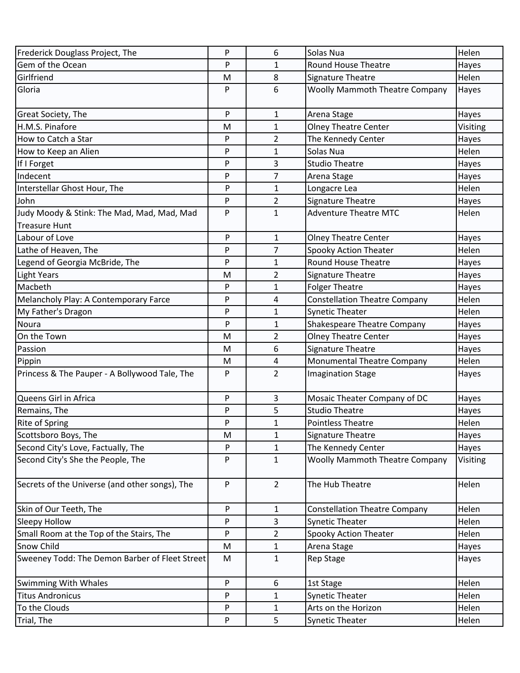| Frederick Douglass Project, The                | P | 6              | Solas Nua                             | Helen    |
|------------------------------------------------|---|----------------|---------------------------------------|----------|
| Gem of the Ocean                               | P | 1              | <b>Round House Theatre</b>            | Hayes    |
| Girlfriend                                     | M | 8              | Signature Theatre                     | Helen    |
| Gloria                                         | P | 6              | <b>Woolly Mammoth Theatre Company</b> | Hayes    |
| Great Society, The                             | P | $\mathbf{1}$   | Arena Stage                           | Hayes    |
| H.M.S. Pinafore                                | M | 1              | <b>Olney Theatre Center</b>           | Visiting |
| How to Catch a Star                            | P | $\overline{2}$ | The Kennedy Center                    | Hayes    |
| How to Keep an Alien                           | P | $\mathbf{1}$   | Solas Nua                             | Helen    |
| If I Forget                                    | P | 3              | <b>Studio Theatre</b>                 | Hayes    |
| Indecent                                       | P | $\overline{7}$ | Arena Stage                           | Hayes    |
| Interstellar Ghost Hour, The                   | P | $\mathbf{1}$   | Longacre Lea                          | Helen    |
| John                                           | P | $\overline{2}$ | Signature Theatre                     | Hayes    |
| Judy Moody & Stink: The Mad, Mad, Mad, Mad     | P | 1              | <b>Adventure Theatre MTC</b>          | Helen    |
| <b>Treasure Hunt</b>                           |   |                |                                       |          |
| Labour of Love                                 | P | $\mathbf{1}$   | <b>Olney Theatre Center</b>           | Hayes    |
| Lathe of Heaven, The                           | P | 7              | <b>Spooky Action Theater</b>          | Helen    |
| Legend of Georgia McBride, The                 | P | $\mathbf{1}$   | <b>Round House Theatre</b>            | Hayes    |
| <b>Light Years</b>                             | M | $\overline{2}$ | Signature Theatre                     | Hayes    |
| Macbeth                                        | P | $\mathbf{1}$   | <b>Folger Theatre</b>                 | Hayes    |
| Melancholy Play: A Contemporary Farce          | P | 4              | <b>Constellation Theatre Company</b>  | Helen    |
| My Father's Dragon                             | P | $\mathbf{1}$   | <b>Synetic Theater</b>                | Helen    |
| Noura                                          | P | $\mathbf{1}$   | <b>Shakespeare Theatre Company</b>    | Hayes    |
| On the Town                                    | M | $\overline{2}$ | <b>Olney Theatre Center</b>           | Hayes    |
| Passion                                        | M | 6              | Signature Theatre                     | Hayes    |
| Pippin                                         | M | 4              | <b>Monumental Theatre Company</b>     | Helen    |
| Princess & The Pauper - A Bollywood Tale, The  | P | $\overline{2}$ | <b>Imagination Stage</b>              | Hayes    |
| Queens Girl in Africa                          | P | 3              | Mosaic Theater Company of DC          | Hayes    |
| Remains, The                                   | P | 5              | <b>Studio Theatre</b>                 | Hayes    |
| <b>Rite of Spring</b>                          | P | 1              | <b>Pointless Theatre</b>              | Helen    |
| Scottsboro Boys, The                           | M | 1              | Signature Theatre                     | Hayes    |
| Second City's Love, Factually, The             | P | $\mathbf{1}$   | The Kennedy Center                    | Hayes    |
| Second City's She the People, The              | P | $\mathbf{1}$   | <b>Woolly Mammoth Theatre Company</b> | Visiting |
| Secrets of the Universe (and other songs), The | P | $\overline{2}$ | The Hub Theatre                       | Helen    |
| Skin of Our Teeth, The                         | P | $\mathbf{1}$   | <b>Constellation Theatre Company</b>  | Helen    |
| Sleepy Hollow                                  | P | 3              | <b>Synetic Theater</b>                | Helen    |
| Small Room at the Top of the Stairs, The       | P | $\overline{2}$ | Spooky Action Theater                 | Helen    |
| <b>Snow Child</b>                              | M | $\mathbf{1}$   | Arena Stage                           | Hayes    |
| Sweeney Todd: The Demon Barber of Fleet Street | M | $\mathbf{1}$   | <b>Rep Stage</b>                      | Hayes    |
| <b>Swimming With Whales</b>                    | P | 6              | 1st Stage                             | Helen    |
| <b>Titus Andronicus</b>                        | P | 1              | <b>Synetic Theater</b>                | Helen    |
| To the Clouds                                  | P | 1              | Arts on the Horizon                   | Helen    |
| Trial, The                                     | P | 5              | <b>Synetic Theater</b>                | Helen    |